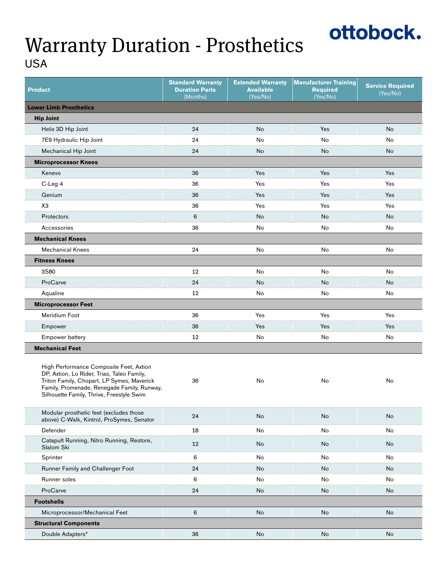### Warranty Duration - Prosthetics USA

| <b>Product</b>                                                                                                                                                                                                                  | <b>Standard Warranty</b><br><b>Duration Parts</b><br>(Months) | <b>Extended Warranty</b><br><b>Available</b><br>(Yes/No) | <b>Manufacturer Training</b><br><b>Required</b><br>(Yes/No) | <b>Service Required</b><br>(Yes/No) |  |  |  |
|---------------------------------------------------------------------------------------------------------------------------------------------------------------------------------------------------------------------------------|---------------------------------------------------------------|----------------------------------------------------------|-------------------------------------------------------------|-------------------------------------|--|--|--|
| <b>Lower Limb Prosthetics</b>                                                                                                                                                                                                   |                                                               |                                                          |                                                             |                                     |  |  |  |
| <b>Hip Joint</b>                                                                                                                                                                                                                |                                                               |                                                          |                                                             |                                     |  |  |  |
| Helix 3D Hip Joint                                                                                                                                                                                                              | 24                                                            | No                                                       | Yes                                                         | No                                  |  |  |  |
| 7E9 Hydraulic Hip Joint                                                                                                                                                                                                         | 24                                                            | No                                                       | No                                                          | No                                  |  |  |  |
| Mechanical Hip Joint                                                                                                                                                                                                            | 24                                                            | No                                                       | No                                                          | No                                  |  |  |  |
| <b>Microprocessor Knees</b>                                                                                                                                                                                                     |                                                               |                                                          |                                                             |                                     |  |  |  |
| Kenevo                                                                                                                                                                                                                          | 36                                                            | Yes                                                      | Yes                                                         | Yes                                 |  |  |  |
| C-Leg 4                                                                                                                                                                                                                         | 36                                                            | Yes                                                      | Yes                                                         | Yes                                 |  |  |  |
| Genium                                                                                                                                                                                                                          | 36                                                            | Yes                                                      | Yes                                                         | Yes                                 |  |  |  |
| ХЗ                                                                                                                                                                                                                              | 36                                                            | Yes                                                      | Yes                                                         | Yes                                 |  |  |  |
| Protectors                                                                                                                                                                                                                      | 6                                                             | No                                                       | No                                                          | No                                  |  |  |  |
| Accessories                                                                                                                                                                                                                     | 36                                                            | No                                                       | No                                                          | No                                  |  |  |  |
| <b>Mechanical Knees</b>                                                                                                                                                                                                         |                                                               |                                                          |                                                             |                                     |  |  |  |
| <b>Mechanical Knees</b>                                                                                                                                                                                                         | 24                                                            | No                                                       | No                                                          | No                                  |  |  |  |
| <b>Fitness Knees</b>                                                                                                                                                                                                            |                                                               |                                                          |                                                             |                                     |  |  |  |
| 3S80                                                                                                                                                                                                                            | 12                                                            | No                                                       | No                                                          | No                                  |  |  |  |
| ProCarve                                                                                                                                                                                                                        | 24                                                            | No                                                       | No                                                          | No                                  |  |  |  |
| Aqualine                                                                                                                                                                                                                        | 12                                                            | No                                                       | No                                                          | No                                  |  |  |  |
| <b>Microprocessor Feet</b>                                                                                                                                                                                                      |                                                               |                                                          |                                                             |                                     |  |  |  |
| Meridium Foot                                                                                                                                                                                                                   | 36                                                            | Yes                                                      | Yes                                                         | Yes                                 |  |  |  |
| Empower                                                                                                                                                                                                                         | 36                                                            | Yes                                                      | Yes                                                         | Yes                                 |  |  |  |
| Empower battery                                                                                                                                                                                                                 | 12                                                            | No                                                       | No                                                          | No                                  |  |  |  |
| <b>Mechanical Feet</b>                                                                                                                                                                                                          |                                                               |                                                          |                                                             |                                     |  |  |  |
| High Performance Composite Feet, Axtion<br>DP, Axtion, Lo Rider, Trias, Taleo Family,<br>Triton Family, Chopart, LP Symes, Maverick<br>Family, Promenade, Renegade Family, Runway,<br>Silhouette Family, Thrive, Freestyle Swim | 36                                                            | No                                                       | No                                                          | No                                  |  |  |  |
| Modular prosthetic feet (excludes those<br>above) C-Walk, Kintrol, ProSymes, Senator                                                                                                                                            | 24                                                            | No                                                       | No                                                          | No                                  |  |  |  |
| Defender                                                                                                                                                                                                                        | 18                                                            | No                                                       | No                                                          | No                                  |  |  |  |
| Catapult Running, Nitro Running, Restore,<br>Slalom Ski                                                                                                                                                                         | 12                                                            | No                                                       | No                                                          | No                                  |  |  |  |
| Sprinter                                                                                                                                                                                                                        | 6                                                             | No                                                       | No                                                          | No                                  |  |  |  |
| Runner Family and Challenger Foot                                                                                                                                                                                               | 24                                                            | No                                                       | No                                                          | No                                  |  |  |  |
| Runner soles                                                                                                                                                                                                                    | 6                                                             | No                                                       | No                                                          | No                                  |  |  |  |
| ProCarve                                                                                                                                                                                                                        | 24                                                            | No                                                       | No                                                          | No                                  |  |  |  |
| <b>Footshells</b>                                                                                                                                                                                                               |                                                               |                                                          |                                                             |                                     |  |  |  |
| Microprocessor/Mechanical Feet                                                                                                                                                                                                  | 6                                                             | No                                                       | No                                                          | No                                  |  |  |  |
| <b>Structural Components</b>                                                                                                                                                                                                    |                                                               |                                                          |                                                             |                                     |  |  |  |
| Double Adapters*                                                                                                                                                                                                                | 36                                                            | No                                                       | No                                                          | No                                  |  |  |  |

ottobock.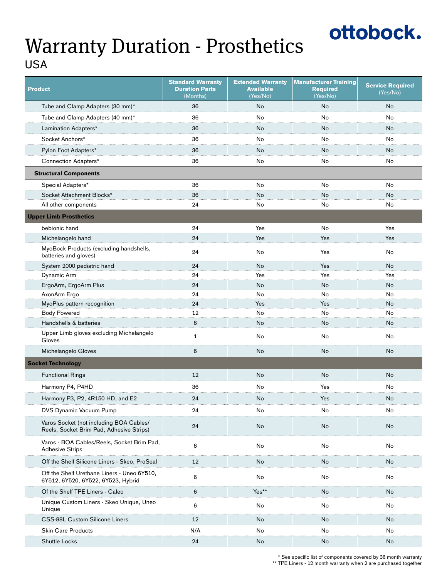# ottobock.

#### Warranty Duration - Prosthetics USA

| <b>Product</b>                                                                      | <b>Standard Warranty</b><br><b>Duration Parts</b><br>(Months) | <b>Extended Warranty</b><br><b>Available</b><br>(Yes/No) | <b>Manufacturer Training</b><br><b>Required</b><br>(Yes/No) | <b>Service Required</b><br>(Yes/No) |
|-------------------------------------------------------------------------------------|---------------------------------------------------------------|----------------------------------------------------------|-------------------------------------------------------------|-------------------------------------|
| Tube and Clamp Adapters (30 mm)*                                                    | 36                                                            | <b>No</b>                                                | <b>No</b>                                                   | <b>No</b>                           |
| Tube and Clamp Adapters (40 mm)*                                                    | 36                                                            | No                                                       | No                                                          | No                                  |
| Lamination Adapters*                                                                | 36                                                            | No                                                       | No                                                          | No                                  |
| Socket Anchors*                                                                     | 36                                                            | No                                                       | No                                                          | No                                  |
| Pylon Foot Adapters*                                                                | 36                                                            | No                                                       | No                                                          | No                                  |
| Connection Adapters*                                                                | 36                                                            | No                                                       | No                                                          | No                                  |
| <b>Structural Components</b>                                                        |                                                               |                                                          |                                                             |                                     |
| Special Adapters*                                                                   | 36                                                            | No                                                       | No                                                          | No                                  |
| Socket Attachment Blocks*                                                           | 36                                                            | No                                                       | No                                                          | No                                  |
| All other components                                                                | 24                                                            | No                                                       | No                                                          | No                                  |
| <b>Upper Limb Prosthetics</b>                                                       |                                                               |                                                          |                                                             |                                     |
| bebionic hand                                                                       | 24                                                            | Yes                                                      | No                                                          | Yes                                 |
| Michelangelo hand                                                                   | 24                                                            | Yes                                                      | Yes                                                         | Yes                                 |
| MyoBock Products (excluding handshells,<br>batteries and gloves)                    | 24                                                            | No                                                       | Yes                                                         | No                                  |
| System 2000 pediatric hand                                                          | 24                                                            | No                                                       | Yes                                                         | No                                  |
| Dynamic Arm                                                                         | 24                                                            | Yes                                                      | Yes                                                         | Yes                                 |
| ErgoArm, ErgoArm Plus                                                               | 24                                                            | No                                                       | No                                                          | No                                  |
| AxonArm Ergo                                                                        | 24                                                            | No                                                       | No                                                          | No                                  |
| MyoPlus pattern recognition                                                         | 24                                                            | Yes                                                      | Yes                                                         | No                                  |
| <b>Body Powered</b>                                                                 | 12                                                            | No                                                       | No                                                          | No                                  |
| Handshells & batteries                                                              | 6                                                             | No                                                       | No                                                          | No                                  |
| Upper Limb gloves excluding Michelangelo<br>Gloves                                  | $\mathbf{1}$                                                  | No                                                       | No                                                          | No                                  |
| Michelangelo Gloves                                                                 | 6                                                             | No                                                       | No                                                          | No                                  |
| <b>Socket Technology</b>                                                            |                                                               |                                                          |                                                             |                                     |
| <b>Functional Rings</b>                                                             | 12                                                            | No                                                       | No                                                          | No                                  |
| Harmony P4, P4HD                                                                    | 36                                                            | No                                                       | Yes                                                         | No                                  |
| Harmony P3, P2, 4R150 HD, and E2                                                    | 24                                                            | No                                                       | Yes                                                         | No                                  |
| <b>DVS Dynamic Vacuum Pump</b>                                                      | 24                                                            | No                                                       | No                                                          | No                                  |
| Varos Socket (not including BOA Cables/<br>Reels, Socket Brim Pad, Adhesive Strips) | 24                                                            | No                                                       | No                                                          | No                                  |
| Varos - BOA Cables/Reels, Socket Brim Pad,<br><b>Adhesive Strips</b>                | 6                                                             | No                                                       | No                                                          | No                                  |
| Off the Shelf Silicone Liners - Skeo, ProSeal                                       | 12                                                            | No                                                       | No                                                          | No                                  |
| Off the Shelf Urethane Liners - Uneo 6Y510,<br>6Y512, 6Y520, 6Y522, 6Y523, Hybrid   | 6                                                             | No                                                       | No                                                          | No                                  |
| Of the Shelf TPE Liners - Caleo                                                     | 6                                                             | Yes*'                                                    | No                                                          | No                                  |
| Unique Custom Liners - Skeo Unique, Uneo<br>Unique                                  | 6                                                             | No                                                       | No                                                          | No                                  |
| <b>CSS-88L Custom Silicone Liners</b>                                               | 12                                                            | No                                                       | No                                                          | No                                  |
| <b>Skin Care Products</b>                                                           | N/A                                                           | No                                                       | No                                                          | No                                  |
| Shuttle Locks                                                                       | 24                                                            | No                                                       | No                                                          | No                                  |

\* See specific list of components covered by 36 month warranty \*\* TPE Liners - 12 month warranty when 2 are purchased together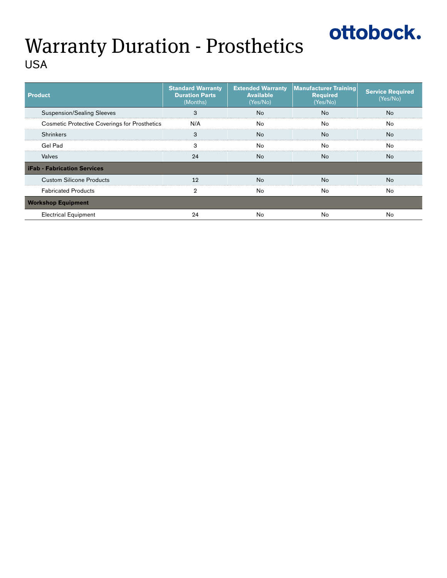# ottobock.

### Warranty Duration - Prosthetics USA

| <b>Product</b>                                       | <b>Standard Warranty</b><br><b>Duration Parts</b><br>(Months) | <b>Extended Warranty</b><br><b>Available</b><br>(Yes/No) | <b>Manufacturer Training</b><br><b>Required</b><br>(Yes/No) | <b>Service Required</b><br>(Yes/No) |
|------------------------------------------------------|---------------------------------------------------------------|----------------------------------------------------------|-------------------------------------------------------------|-------------------------------------|
| <b>Suspension/Sealing Sleeves</b>                    |                                                               | N٥                                                       | No                                                          | N٥                                  |
| <b>Cosmetic Protective Coverings for Prosthetics</b> | N/A                                                           | Nο                                                       | Nο                                                          | Nα                                  |
| <b>Shrinkers</b>                                     | я                                                             | Nο                                                       | Nο                                                          | No                                  |
| Gel Pad                                              |                                                               | Nο                                                       | Nο                                                          | No                                  |
| Valves                                               | 24                                                            | No                                                       | No                                                          | No.                                 |
| <b>iFab - Fabrication Services</b>                   |                                                               |                                                          |                                                             |                                     |
| <b>Custom Silicone Products</b>                      | 19                                                            | N٥                                                       | No                                                          | No                                  |
| <b>Fabricated Products</b>                           |                                                               | No                                                       | No                                                          | No                                  |
| <b>Workshop Equipment</b>                            |                                                               |                                                          |                                                             |                                     |
| <b>Electrical Equipment</b>                          |                                                               | N۵                                                       | Nο                                                          | Nc                                  |